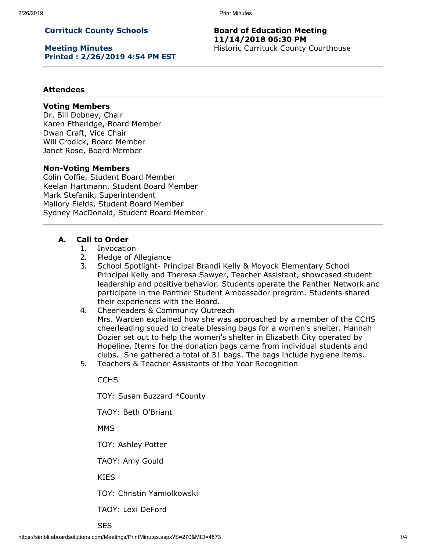2/26/2019 Print Minutes

# **Currituck County Schools**

**Meeting Minutes Printed : 2/26/2019 4:54 PM EST**

### **Board of Education Meeting 11/14/2018 06:30 PM** Historic Currituck County Courthouse

### **Attendees**

#### **Voting Members**

Dr. Bill Dobney, Chair Karen Etheridge, Board Member Dwan Craft, Vice Chair Will Crodick, Board Member Janet Rose, Board Member

#### **Non-Voting Members**

Colin Coffie, Student Board Member Keelan Hartmann, Student Board Member Mark Stefanik, Superintendent Mallory Fields, Student Board Member Sydney MacDonald, Student Board Member

## **A. Call to Order**

- 1. Invocation
- 2. Pledge of Allegiance
- 3. School Spotlight- Principal Brandi Kelly & Moyock Elementary School Principal Kelly and Theresa Sawyer, Teacher Assistant, showcased student leadership and positive behavior. Students operate the Panther Network and participate in the Panther Student Ambassador program. Students shared their experiences with the Board.
- 4. Cheerleaders & Community Outreach Mrs. Warden explained how she was approached by a member of the CCHS cheerleading squad to create blessing bags for a women's shelter. Hannah Dozier set out to help the women's shelter in Elizabeth City operated by Hopeline. Items for the donation bags came from individual students and clubs. She gathered a total of 31 bags. The bags include hygiene items.
- 5. Teachers & Teacher Assistants of the Year Recognition

**CCHS** 

TOY: Susan Buzzard \*County

TAOY: Beth O'Briant

MMS

TOY: Ashley Potter

TAOY: Amy Gould

KIES

TOY: Christin Yamiolkowski

TAOY: Lexi DeFord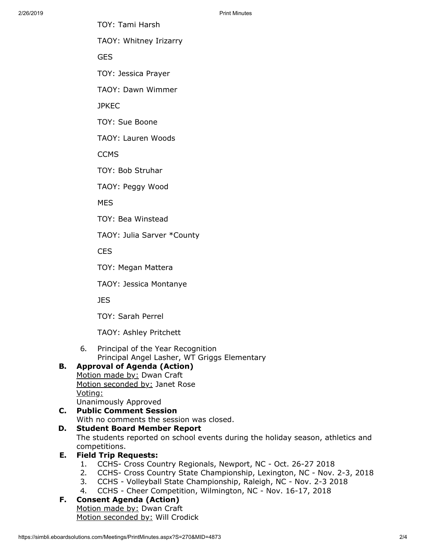TOY: Tami Harsh

TAOY: Whitney Irizarry

GES

TOY: Jessica Prayer

TAOY: Dawn Wimmer

**JPKEC** 

TOY: Sue Boone

TAOY: Lauren Woods

**CCMS** 

TOY: Bob Struhar

TAOY: Peggy Wood

MES

TOY: Bea Winstead

TAOY: Julia Sarver \*County

**CES** 

TOY: Megan Mattera

TAOY: Jessica Montanye

JES

TOY: Sarah Perrel

TAOY: Ashley Pritchett

6. Principal of the Year Recognition Principal Angel Lasher, WT Griggs Elementary

# **B. Approval of Agenda (Action)**

Motion made by: Dwan Craft Motion seconded by: Janet Rose Voting: Unanimously Approved

# **C. Public Comment Session** With no comments the session was closed.

# **D. Student Board Member Report**

The students reported on school events during the holiday season, athletics and competitions.

# **E. Field Trip Requests:**

- 1. CCHS- Cross Country Regionals, Newport, NC Oct. 26-27 2018
- 2. CCHS- Cross Country State Championship, Lexington, NC Nov. 2-3, 2018
- 3. CCHS Volleyball State Championship, Raleigh, NC Nov. 2-3 2018
- 4. CCHS Cheer Competition, Wilmington, NC Nov. 16-17, 2018

# **F. Consent Agenda (Action)**

Motion made by: Dwan Craft Motion seconded by: Will Crodick